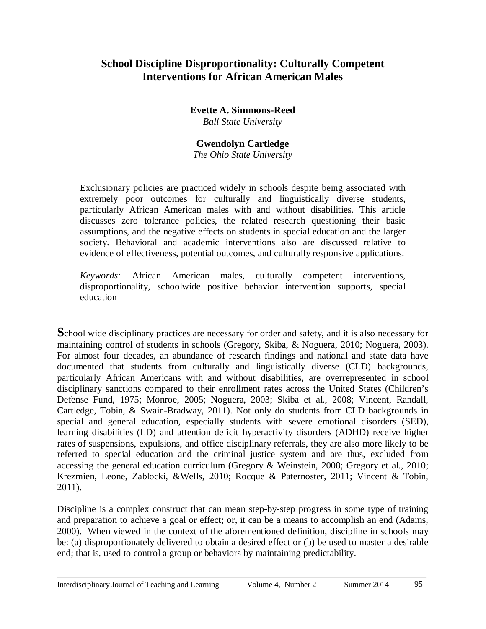# **School Discipline Disproportionality: Culturally Competent Interventions for African American Males**

**Evette A. Simmons-Reed** *Ball State University*

# **Gwendolyn Cartledge**

*The Ohio State University*

Exclusionary policies are practiced widely in schools despite being associated with extremely poor outcomes for culturally and linguistically diverse students, particularly African American males with and without disabilities. This article discusses zero tolerance policies, the related research questioning their basic assumptions, and the negative effects on students in special education and the larger society. Behavioral and academic interventions also are discussed relative to evidence of effectiveness, potential outcomes, and culturally responsive applications.

*Keywords:* African American males, culturally competent interventions, disproportionality, schoolwide positive behavior intervention supports, special education

**S**chool wide disciplinary practices are necessary for order and safety, and it is also necessary for maintaining control of students in schools (Gregory, Skiba, & Noguera, 2010; Noguera, 2003). For almost four decades, an abundance of research findings and national and state data have documented that students from culturally and linguistically diverse (CLD) backgrounds, particularly African Americans with and without disabilities, are overrepresented in school disciplinary sanctions compared to their enrollment rates across the United States (Children's Defense Fund, 1975; Monroe, 2005; Noguera, 2003; Skiba et al., 2008; Vincent, Randall, Cartledge, Tobin, & Swain-Bradway, 2011). Not only do students from CLD backgrounds in special and general education, especially students with severe emotional disorders (SED), learning disabilities (LD) and attention deficit hyperactivity disorders (ADHD) receive higher rates of suspensions, expulsions, and office disciplinary referrals, they are also more likely to be referred to special education and the criminal justice system and are thus, excluded from accessing the general education curriculum (Gregory & Weinstein, 2008; Gregory et al., 2010; Krezmien, Leone, Zablocki, &Wells, 2010; Rocque & Paternoster, 2011; Vincent & Tobin, 2011).

Discipline is a complex construct that can mean step-by-step progress in some type of training and preparation to achieve a goal or effect; or, it can be a means to accomplish an end (Adams, 2000). When viewed in the context of the aforementioned definition, discipline in schools may be: (a) disproportionately delivered to obtain a desired effect or (b) be used to master a desirable end; that is, used to control a group or behaviors by maintaining predictability.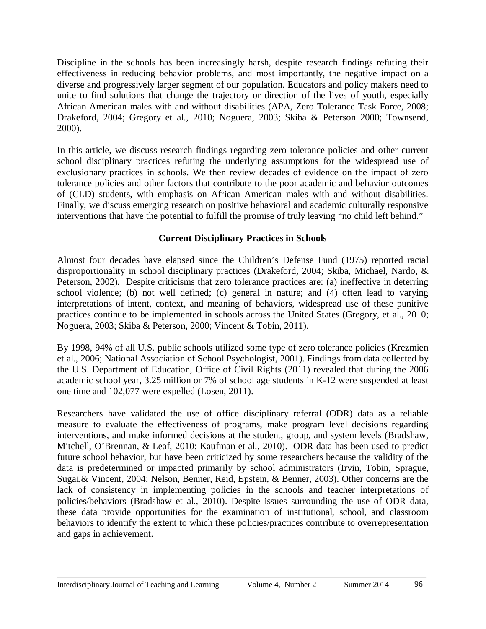Discipline in the schools has been increasingly harsh, despite research findings refuting their effectiveness in reducing behavior problems, and most importantly, the negative impact on a diverse and progressively larger segment of our population. Educators and policy makers need to unite to find solutions that change the trajectory or direction of the lives of youth, especially African American males with and without disabilities (APA, Zero Tolerance Task Force, 2008; Drakeford, 2004; Gregory et al., 2010; Noguera, 2003; Skiba & Peterson 2000; Townsend, 2000).

In this article, we discuss research findings regarding zero tolerance policies and other current school disciplinary practices refuting the underlying assumptions for the widespread use of exclusionary practices in schools. We then review decades of evidence on the impact of zero tolerance policies and other factors that contribute to the poor academic and behavior outcomes of (CLD) students, with emphasis on African American males with and without disabilities. Finally, we discuss emerging research on positive behavioral and academic culturally responsive interventions that have the potential to fulfill the promise of truly leaving "no child left behind."

## **Current Disciplinary Practices in Schools**

Almost four decades have elapsed since the Children's Defense Fund (1975) reported racial disproportionality in school disciplinary practices (Drakeford, 2004; Skiba, Michael, Nardo, & Peterson, 2002). Despite criticisms that zero tolerance practices are: (a) ineffective in deterring school violence; (b) not well defined; (c) general in nature; and (4) often lead to varying interpretations of intent, context, and meaning of behaviors, widespread use of these punitive practices continue to be implemented in schools across the United States (Gregory, et al., 2010; Noguera, 2003; Skiba & Peterson, 2000; Vincent & Tobin, 2011).

By 1998, 94% of all U.S. public schools utilized some type of zero tolerance policies (Krezmien et al., 2006; National Association of School Psychologist, 2001). Findings from data collected by the U.S. Department of Education, Office of Civil Rights (2011) revealed that during the 2006 academic school year, 3.25 million or 7% of school age students in K-12 were suspended at least one time and 102,077 were expelled (Losen, 2011).

Researchers have validated the use of office disciplinary referral (ODR) data as a reliable measure to evaluate the effectiveness of programs, make program level decisions regarding interventions, and make informed decisions at the student, group, and system levels (Bradshaw, Mitchell, O'Brennan, & Leaf, 2010; Kaufman et al., 2010). ODR data has been used to predict future school behavior, but have been criticized by some researchers because the validity of the data is predetermined or impacted primarily by school administrators (Irvin, Tobin, Sprague, Sugai,& Vincent, 2004; Nelson, Benner, Reid, Epstein, & Benner, 2003). Other concerns are the lack of consistency in implementing policies in the schools and teacher interpretations of policies/behaviors (Bradshaw et al., 2010). Despite issues surrounding the use of ODR data, these data provide opportunities for the examination of institutional, school, and classroom behaviors to identify the extent to which these policies/practices contribute to overrepresentation and gaps in achievement.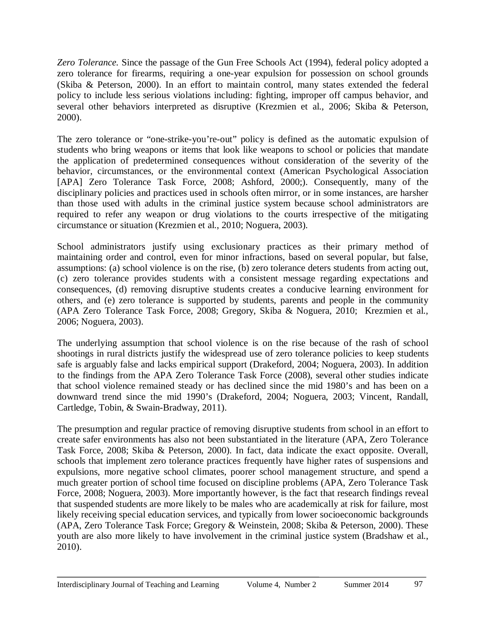*Zero Tolerance.* Since the passage of the Gun Free Schools Act (1994), federal policy adopted a zero tolerance for firearms, requiring a one-year expulsion for possession on school grounds (Skiba & Peterson, 2000). In an effort to maintain control, many states extended the federal policy to include less serious violations including: fighting, improper off campus behavior, and several other behaviors interpreted as disruptive (Krezmien et al., 2006; Skiba & Peterson, 2000).

The zero tolerance or "one-strike-you're-out" policy is defined as the automatic expulsion of students who bring weapons or items that look like weapons to school or policies that mandate the application of predetermined consequences without consideration of the severity of the behavior, circumstances, or the environmental context (American Psychological Association [APA] Zero Tolerance Task Force, 2008; Ashford, 2000;). Consequently, many of the disciplinary policies and practices used in schools often mirror, or in some instances, are harsher than those used with adults in the criminal justice system because school administrators are required to refer any weapon or drug violations to the courts irrespective of the mitigating circumstance or situation (Krezmien et al., 2010; Noguera, 2003).

School administrators justify using exclusionary practices as their primary method of maintaining order and control, even for minor infractions, based on several popular, but false, assumptions: (a) school violence is on the rise, (b) zero tolerance deters students from acting out, (c) zero tolerance provides students with a consistent message regarding expectations and consequences, (d) removing disruptive students creates a conducive learning environment for others, and (e) zero tolerance is supported by students, parents and people in the community (APA Zero Tolerance Task Force, 2008; Gregory, Skiba & Noguera, 2010; Krezmien et al., 2006; Noguera, 2003).

The underlying assumption that school violence is on the rise because of the rash of school shootings in rural districts justify the widespread use of zero tolerance policies to keep students safe is arguably false and lacks empirical support (Drakeford, 2004; Noguera, 2003). In addition to the findings from the APA Zero Tolerance Task Force (2008), several other studies indicate that school violence remained steady or has declined since the mid 1980's and has been on a downward trend since the mid 1990's (Drakeford, 2004; Noguera, 2003; Vincent, Randall, Cartledge, Tobin, & Swain-Bradway, 2011).

The presumption and regular practice of removing disruptive students from school in an effort to create safer environments has also not been substantiated in the literature (APA, Zero Tolerance Task Force, 2008; Skiba & Peterson, 2000). In fact, data indicate the exact opposite. Overall, schools that implement zero tolerance practices frequently have higher rates of suspensions and expulsions, more negative school climates, poorer school management structure, and spend a much greater portion of school time focused on discipline problems (APA, Zero Tolerance Task Force, 2008; Noguera, 2003). More importantly however, is the fact that research findings reveal that suspended students are more likely to be males who are academically at risk for failure, most likely receiving special education services, and typically from lower socioeconomic backgrounds (APA, Zero Tolerance Task Force; Gregory & Weinstein, 2008; Skiba & Peterson, 2000). These youth are also more likely to have involvement in the criminal justice system (Bradshaw et al., 2010).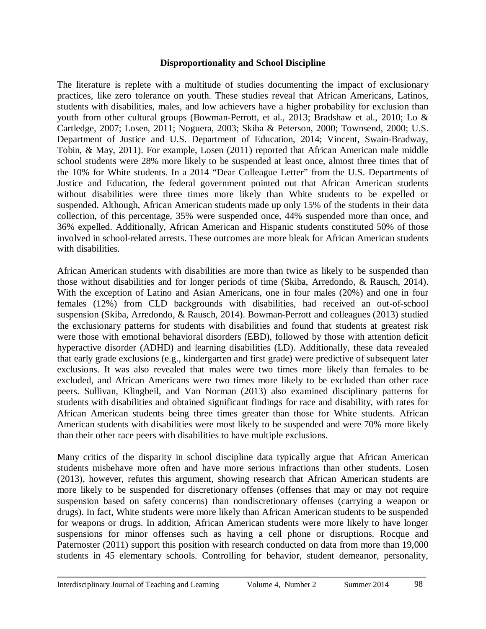#### **Disproportionality and School Discipline**

The literature is replete with a multitude of studies documenting the impact of exclusionary practices, like zero tolerance on youth. These studies reveal that African Americans, Latinos, students with disabilities, males, and low achievers have a higher probability for exclusion than youth from other cultural groups (Bowman-Perrott, et al., 2013; Bradshaw et al., 2010; Lo & Cartledge, 2007; Losen, 2011; Noguera, 2003; Skiba & Peterson, 2000; Townsend, 2000; U.S. Department of Justice and U.S. Department of Education, 2014; Vincent, Swain-Bradway, Tobin, & May, 2011). For example, Losen (2011) reported that African American male middle school students were 28% more likely to be suspended at least once, almost three times that of the 10% for White students. In a 2014 "Dear Colleague Letter" from the U.S. Departments of Justice and Education, the federal government pointed out that African American students without disabilities were three times more likely than White students to be expelled or suspended. Although, African American students made up only 15% of the students in their data collection, of this percentage, 35% were suspended once, 44% suspended more than once, and 36% expelled. Additionally, African American and Hispanic students constituted 50% of those involved in school-related arrests. These outcomes are more bleak for African American students with disabilities.

African American students with disabilities are more than twice as likely to be suspended than those without disabilities and for longer periods of time (Skiba, Arredondo, & Rausch, 2014). With the exception of Latino and Asian Americans, one in four males (20%) and one in four females (12%) from CLD backgrounds with disabilities, had received an out-of-school suspension (Skiba, Arredondo, & Rausch, 2014). Bowman-Perrott and colleagues (2013) studied the exclusionary patterns for students with disabilities and found that students at greatest risk were those with emotional behavioral disorders (EBD), followed by those with attention deficit hyperactive disorder (ADHD) and learning disabilities (LD). Additionally, these data revealed that early grade exclusions (e.g., kindergarten and first grade) were predictive of subsequent later exclusions. It was also revealed that males were two times more likely than females to be excluded, and African Americans were two times more likely to be excluded than other race peers. Sullivan, Klingbeil, and Van Norman (2013) also examined disciplinary patterns for students with disabilities and obtained significant findings for race and disability, with rates for African American students being three times greater than those for White students. African American students with disabilities were most likely to be suspended and were 70% more likely than their other race peers with disabilities to have multiple exclusions.

Many critics of the disparity in school discipline data typically argue that African American students misbehave more often and have more serious infractions than other students. Losen (2013), however, refutes this argument, showing research that African American students are more likely to be suspended for discretionary offenses (offenses that may or may not require suspension based on safety concerns) than nondiscretionary offenses (carrying a weapon or drugs). In fact, White students were more likely than African American students to be suspended for weapons or drugs. In addition, African American students were more likely to have longer suspensions for minor offenses such as having a cell phone or disruptions. Rocque and Paternoster (2011) support this position with research conducted on data from more than 19,000 students in 45 elementary schools. Controlling for behavior, student demeanor, personality,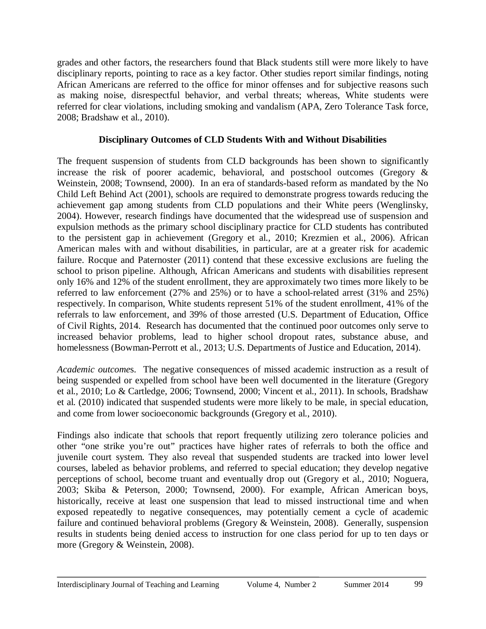grades and other factors, the researchers found that Black students still were more likely to have disciplinary reports, pointing to race as a key factor. Other studies report similar findings, noting African Americans are referred to the office for minor offenses and for subjective reasons such as making noise, disrespectful behavior, and verbal threats; whereas, White students were referred for clear violations, including smoking and vandalism (APA, Zero Tolerance Task force, 2008; Bradshaw et al., 2010).

#### **Disciplinary Outcomes of CLD Students With and Without Disabilities**

The frequent suspension of students from CLD backgrounds has been shown to significantly increase the risk of poorer academic, behavioral, and postschool outcomes (Gregory & Weinstein, 2008; Townsend, 2000). In an era of standards-based reform as mandated by the No Child Left Behind Act (2001), schools are required to demonstrate progress towards reducing the achievement gap among students from CLD populations and their White peers (Wenglinsky, 2004). However, research findings have documented that the widespread use of suspension and expulsion methods as the primary school disciplinary practice for CLD students has contributed to the persistent gap in achievement (Gregory et al., 2010; Krezmien et al., 2006). African American males with and without disabilities, in particular, are at a greater risk for academic failure. Rocque and Paternoster (2011) contend that these excessive exclusions are fueling the school to prison pipeline. Although, African Americans and students with disabilities represent only 16% and 12% of the student enrollment, they are approximately two times more likely to be referred to law enforcement (27% and 25%) or to have a school-related arrest (31% and 25%) respectively. In comparison, White students represent 51% of the student enrollment, 41% of the referrals to law enforcement, and 39% of those arrested (U.S. Department of Education, Office of Civil Rights, 2014. Research has documented that the continued poor outcomes only serve to increased behavior problems, lead to higher school dropout rates, substance abuse, and homelessness (Bowman-Perrott et al., 2013; U.S. Departments of Justice and Education, 2014).

*Academic outcome*s. The negative consequences of missed academic instruction as a result of being suspended or expelled from school have been well documented in the literature (Gregory et al., 2010; Lo & Cartledge, 2006; Townsend, 2000; Vincent et al., 2011). In schools, Bradshaw et al. (2010) indicated that suspended students were more likely to be male, in special education, and come from lower socioeconomic backgrounds (Gregory et al., 2010).

Findings also indicate that schools that report frequently utilizing zero tolerance policies and other "one strike you're out" practices have higher rates of referrals to both the office and juvenile court system. They also reveal that suspended students are tracked into lower level courses, labeled as behavior problems, and referred to special education; they develop negative perceptions of school, become truant and eventually drop out (Gregory et al., 2010; Noguera, 2003; Skiba & Peterson, 2000; Townsend, 2000). For example, African American boys, historically, receive at least one suspension that lead to missed instructional time and when exposed repeatedly to negative consequences, may potentially cement a cycle of academic failure and continued behavioral problems (Gregory & Weinstein, 2008). Generally, suspension results in students being denied access to instruction for one class period for up to ten days or more (Gregory & Weinstein, 2008).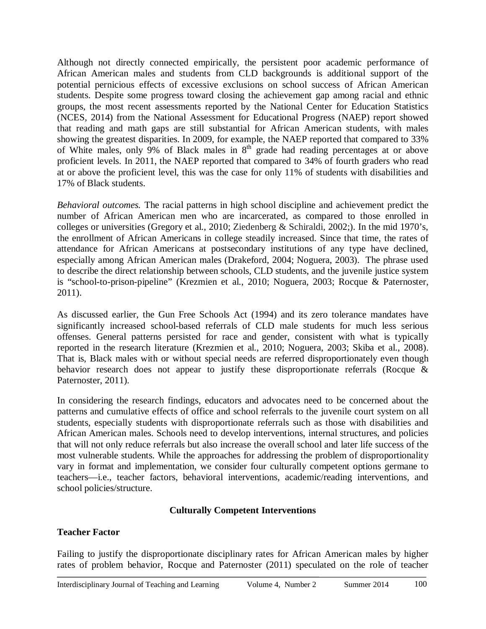Although not directly connected empirically, the persistent poor academic performance of African American males and students from CLD backgrounds is additional support of the potential pernicious effects of excessive exclusions on school success of African American students. Despite some progress toward closing the achievement gap among racial and ethnic groups, the most recent assessments reported by the National Center for Education Statistics (NCES, 2014) from the National Assessment for Educational Progress (NAEP) report showed that reading and math gaps are still substantial for African American students, with males showing the greatest disparities. In 2009, for example, the NAEP reported that compared to 33% of White males, only 9% of Black males in  $8<sup>th</sup>$  grade had reading percentages at or above proficient levels. In 2011, the NAEP reported that compared to 34% of fourth graders who read at or above the proficient level, this was the case for only 11% of students with disabilities and 17% of Black students.

*Behavioral outcomes.* The racial patterns in high school discipline and achievement predict the number of African American men who are incarcerated, as compared to those enrolled in colleges or universities (Gregory et al., 2010; Ziedenberg & Schiraldi, 2002;). In the mid 1970's, the enrollment of African Americans in college steadily increased. Since that time, the rates of attendance for African Americans at postsecondary institutions of any type have declined, especially among African American males (Drakeford, 2004; Noguera, 2003). The phrase used to describe the direct relationship between schools, CLD students, and the juvenile justice system is "school-to-prison-pipeline" (Krezmien et al., 2010; Noguera, 2003; Rocque & Paternoster, 2011).

As discussed earlier, the Gun Free Schools Act (1994) and its zero tolerance mandates have significantly increased school-based referrals of CLD male students for much less serious offenses. General patterns persisted for race and gender, consistent with what is typically reported in the research literature (Krezmien et al., 2010; Noguera, 2003; Skiba et al., 2008). That is, Black males with or without special needs are referred disproportionately even though behavior research does not appear to justify these disproportionate referrals (Rocque & Paternoster, 2011).

In considering the research findings, educators and advocates need to be concerned about the patterns and cumulative effects of office and school referrals to the juvenile court system on all students, especially students with disproportionate referrals such as those with disabilities and African American males. Schools need to develop interventions, internal structures, and policies that will not only reduce referrals but also increase the overall school and later life success of the most vulnerable students. While the approaches for addressing the problem of disproportionality vary in format and implementation, we consider four culturally competent options germane to teachers—i.e., teacher factors, behavioral interventions, academic/reading interventions, and school policies/structure.

#### **Culturally Competent Interventions**

#### **Teacher Factor**

Failing to justify the disproportionate disciplinary rates for African American males by higher rates of problem behavior, Rocque and Paternoster (2011) speculated on the role of teacher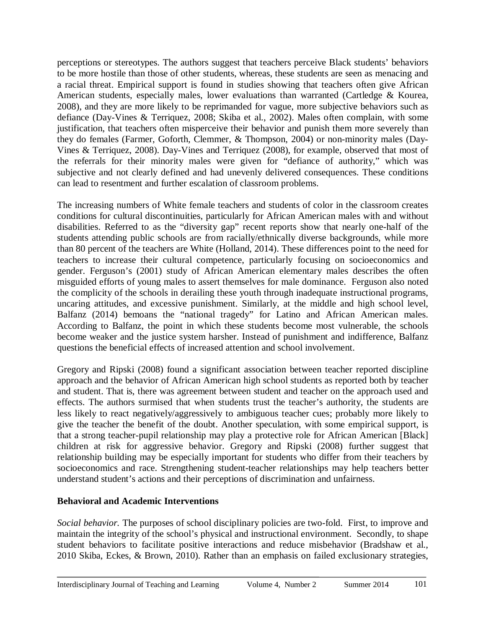perceptions or stereotypes. The authors suggest that teachers perceive Black students' behaviors to be more hostile than those of other students, whereas, these students are seen as menacing and a racial threat. Empirical support is found in studies showing that teachers often give African American students, especially males, lower evaluations than warranted (Cartledge & Kourea, 2008), and they are more likely to be reprimanded for vague, more subjective behaviors such as defiance (Day-Vines & Terriquez, 2008; Skiba et al., 2002). Males often complain, with some justification, that teachers often misperceive their behavior and punish them more severely than they do females (Farmer, Goforth, Clemmer, & Thompson, 2004) or non-minority males (Day-Vines & Terriquez, 2008). Day-Vines and Terriquez (2008), for example, observed that most of the referrals for their minority males were given for "defiance of authority," which was subjective and not clearly defined and had unevenly delivered consequences. These conditions can lead to resentment and further escalation of classroom problems.

The increasing numbers of White female teachers and students of color in the classroom creates conditions for cultural discontinuities, particularly for African American males with and without disabilities. Referred to as the "diversity gap" recent reports show that nearly one-half of the students attending public schools are from racially/ethnically diverse backgrounds, while more than 80 percent of the teachers are White (Holland, 2014). These differences point to the need for teachers to increase their cultural competence, particularly focusing on socioeconomics and gender. Ferguson's (2001) study of African American elementary males describes the often misguided efforts of young males to assert themselves for male dominance. Ferguson also noted the complicity of the schools in derailing these youth through inadequate instructional programs, uncaring attitudes, and excessive punishment. Similarly, at the middle and high school level, Balfanz (2014) bemoans the "national tragedy" for Latino and African American males. According to Balfanz, the point in which these students become most vulnerable, the schools become weaker and the justice system harsher. Instead of punishment and indifference, Balfanz questions the beneficial effects of increased attention and school involvement.

Gregory and Ripski (2008) found a significant association between teacher reported discipline approach and the behavior of African American high school students as reported both by teacher and student. That is, there was agreement between student and teacher on the approach used and effects. The authors surmised that when students trust the teacher's authority, the students are less likely to react negatively/aggressively to ambiguous teacher cues; probably more likely to give the teacher the benefit of the doubt. Another speculation, with some empirical support, is that a strong teacher-pupil relationship may play a protective role for African American [Black] children at risk for aggressive behavior. Gregory and Ripski (2008) further suggest that relationship building may be especially important for students who differ from their teachers by socioeconomics and race. Strengthening student-teacher relationships may help teachers better understand student's actions and their perceptions of discrimination and unfairness.

#### **Behavioral and Academic Interventions**

*Social behavior.* The purposes of school disciplinary policies are two-fold. First, to improve and maintain the integrity of the school's physical and instructional environment. Secondly, to shape student behaviors to facilitate positive interactions and reduce misbehavior (Bradshaw et al., 2010 Skiba, Eckes, & Brown, 2010). Rather than an emphasis on failed exclusionary strategies,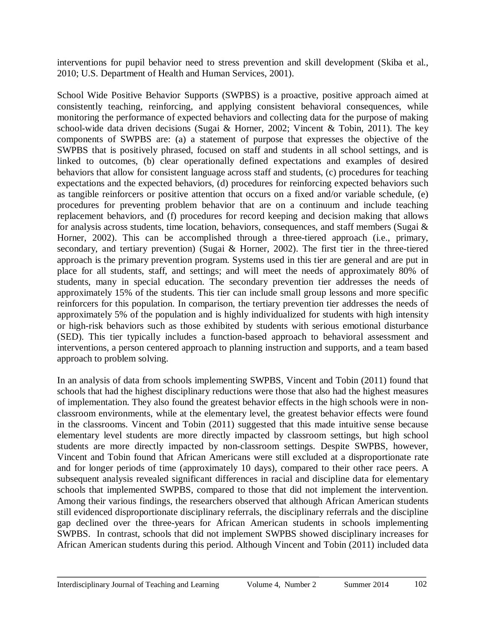interventions for pupil behavior need to stress prevention and skill development (Skiba et al., 2010; U.S. Department of Health and Human Services, 2001).

School Wide Positive Behavior Supports (SWPBS) is a proactive, positive approach aimed at consistently teaching, reinforcing, and applying consistent behavioral consequences, while monitoring the performance of expected behaviors and collecting data for the purpose of making school-wide data driven decisions (Sugai & Horner, 2002; Vincent & Tobin, 2011). The key components of SWPBS are: (a) a statement of purpose that expresses the objective of the SWPBS that is positively phrased, focused on staff and students in all school settings, and is linked to outcomes, (b) clear operationally defined expectations and examples of desired behaviors that allow for consistent language across staff and students, (c) procedures for teaching expectations and the expected behaviors, (d) procedures for reinforcing expected behaviors such as tangible reinforcers or positive attention that occurs on a fixed and/or variable schedule, (e) procedures for preventing problem behavior that are on a continuum and include teaching replacement behaviors, and (f) procedures for record keeping and decision making that allows for analysis across students, time location, behaviors, consequences, and staff members (Sugai & Horner, 2002). This can be accomplished through a three-tiered approach (i.e., primary, secondary, and tertiary prevention) (Sugai & Horner, 2002). The first tier in the three-tiered approach is the primary prevention program. Systems used in this tier are general and are put in place for all students, staff, and settings; and will meet the needs of approximately 80% of students, many in special education. The secondary prevention tier addresses the needs of approximately 15% of the students. This tier can include small group lessons and more specific reinforcers for this population. In comparison, the tertiary prevention tier addresses the needs of approximately 5% of the population and is highly individualized for students with high intensity or high-risk behaviors such as those exhibited by students with serious emotional disturbance (SED). This tier typically includes a function-based approach to behavioral assessment and interventions, a person centered approach to planning instruction and supports, and a team based approach to problem solving.

In an analysis of data from schools implementing SWPBS, Vincent and Tobin (2011) found that schools that had the highest disciplinary reductions were those that also had the highest measures of implementation. They also found the greatest behavior effects in the high schools were in nonclassroom environments, while at the elementary level, the greatest behavior effects were found in the classrooms. Vincent and Tobin (2011) suggested that this made intuitive sense because elementary level students are more directly impacted by classroom settings, but high school students are more directly impacted by non-classroom settings. Despite SWPBS, however, Vincent and Tobin found that African Americans were still excluded at a disproportionate rate and for longer periods of time (approximately 10 days), compared to their other race peers. A subsequent analysis revealed significant differences in racial and discipline data for elementary schools that implemented SWPBS, compared to those that did not implement the intervention. Among their various findings, the researchers observed that although African American students still evidenced disproportionate disciplinary referrals, the disciplinary referrals and the discipline gap declined over the three-years for African American students in schools implementing SWPBS. In contrast, schools that did not implement SWPBS showed disciplinary increases for African American students during this period. Although Vincent and Tobin (2011) included data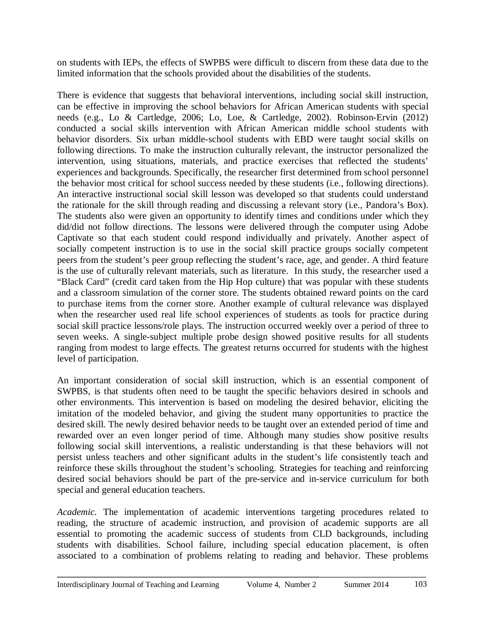on students with IEPs, the effects of SWPBS were difficult to discern from these data due to the limited information that the schools provided about the disabilities of the students.

There is evidence that suggests that behavioral interventions, including social skill instruction, can be effective in improving the school behaviors for African American students with special needs (e.g., Lo & Cartledge, 2006; Lo, Loe, & Cartledge, 2002). Robinson-Ervin (2012) conducted a social skills intervention with African American middle school students with behavior disorders. Six urban middle-school students with EBD were taught social skills on following directions. To make the instruction culturally relevant, the instructor personalized the intervention, using situations, materials, and practice exercises that reflected the students' experiences and backgrounds. Specifically, the researcher first determined from school personnel the behavior most critical for school success needed by these students (i.e., following directions). An interactive instructional social skill lesson was developed so that students could understand the rationale for the skill through reading and discussing a relevant story (i.e., Pandora's Box). The students also were given an opportunity to identify times and conditions under which they did/did not follow directions. The lessons were delivered through the computer using Adobe Captivate so that each student could respond individually and privately. Another aspect of socially competent instruction is to use in the social skill practice groups socially competent peers from the student's peer group reflecting the student's race, age, and gender. A third feature is the use of culturally relevant materials, such as literature. In this study, the researcher used a "Black Card" (credit card taken from the Hip Hop culture) that was popular with these students and a classroom simulation of the corner store. The students obtained reward points on the card to purchase items from the corner store. Another example of cultural relevance was displayed when the researcher used real life school experiences of students as tools for practice during social skill practice lessons/role plays. The instruction occurred weekly over a period of three to seven weeks. A single-subject multiple probe design showed positive results for all students ranging from modest to large effects. The greatest returns occurred for students with the highest level of participation.

An important consideration of social skill instruction, which is an essential component of SWPBS, is that students often need to be taught the specific behaviors desired in schools and other environments. This intervention is based on modeling the desired behavior, eliciting the imitation of the modeled behavior, and giving the student many opportunities to practice the desired skill. The newly desired behavior needs to be taught over an extended period of time and rewarded over an even longer period of time. Although many studies show positive results following social skill interventions, a realistic understanding is that these behaviors will not persist unless teachers and other significant adults in the student's life consistently teach and reinforce these skills throughout the student's schooling. Strategies for teaching and reinforcing desired social behaviors should be part of the pre-service and in-service curriculum for both special and general education teachers.

*Academic.* The implementation of academic interventions targeting procedures related to reading, the structure of academic instruction, and provision of academic supports are all essential to promoting the academic success of students from CLD backgrounds, including students with disabilities. School failure, including special education placement, is often associated to a combination of problems relating to reading and behavior. These problems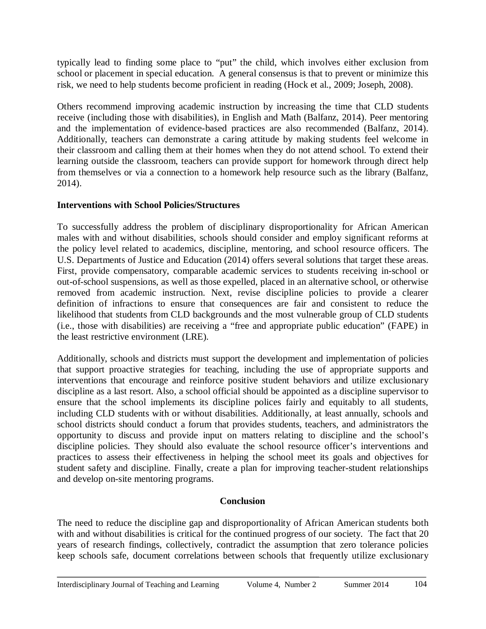typically lead to finding some place to "put" the child, which involves either exclusion from school or placement in special education. A general consensus is that to prevent or minimize this risk, we need to help students become proficient in reading (Hock et al., 2009; Joseph, 2008).

Others recommend improving academic instruction by increasing the time that CLD students receive (including those with disabilities), in English and Math (Balfanz, 2014). Peer mentoring and the implementation of evidence-based practices are also recommended (Balfanz, 2014). Additionally, teachers can demonstrate a caring attitude by making students feel welcome in their classroom and calling them at their homes when they do not attend school. To extend their learning outside the classroom, teachers can provide support for homework through direct help from themselves or via a connection to a homework help resource such as the library (Balfanz, 2014).

## **Interventions with School Policies/Structures**

To successfully address the problem of disciplinary disproportionality for African American males with and without disabilities, schools should consider and employ significant reforms at the policy level related to academics, discipline, mentoring, and school resource officers. The U.S. Departments of Justice and Education (2014) offers several solutions that target these areas. First, provide compensatory, comparable academic services to students receiving in-school or out-of-school suspensions, as well as those expelled, placed in an alternative school, or otherwise removed from academic instruction. Next, revise discipline policies to provide a clearer definition of infractions to ensure that consequences are fair and consistent to reduce the likelihood that students from CLD backgrounds and the most vulnerable group of CLD students (i.e., those with disabilities) are receiving a "free and appropriate public education" (FAPE) in the least restrictive environment (LRE).

Additionally, schools and districts must support the development and implementation of policies that support proactive strategies for teaching, including the use of appropriate supports and interventions that encourage and reinforce positive student behaviors and utilize exclusionary discipline as a last resort. Also, a school official should be appointed as a discipline supervisor to ensure that the school implements its discipline polices fairly and equitably to all students, including CLD students with or without disabilities. Additionally, at least annually, schools and school districts should conduct a forum that provides students, teachers, and administrators the opportunity to discuss and provide input on matters relating to discipline and the school's discipline policies. They should also evaluate the school resource officer's interventions and practices to assess their effectiveness in helping the school meet its goals and objectives for student safety and discipline. Finally, create a plan for improving teacher-student relationships and develop on-site mentoring programs.

#### **Conclusion**

The need to reduce the discipline gap and disproportionality of African American students both with and without disabilities is critical for the continued progress of our society. The fact that 20 years of research findings, collectively, contradict the assumption that zero tolerance policies keep schools safe, document correlations between schools that frequently utilize exclusionary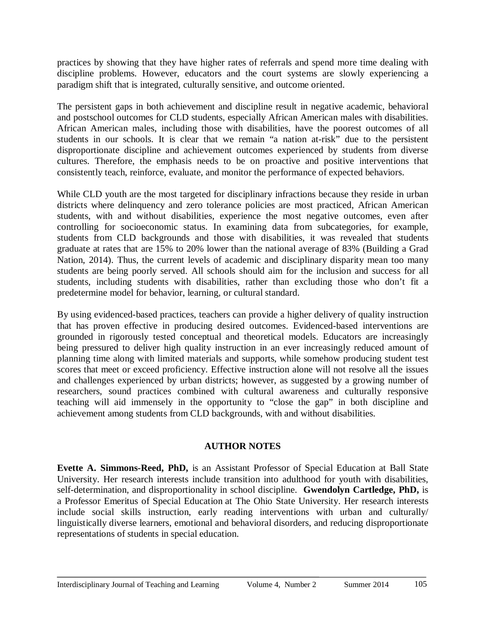practices by showing that they have higher rates of referrals and spend more time dealing with discipline problems. However, educators and the court systems are slowly experiencing a paradigm shift that is integrated, culturally sensitive, and outcome oriented.

The persistent gaps in both achievement and discipline result in negative academic, behavioral and postschool outcomes for CLD students, especially African American males with disabilities. African American males, including those with disabilities, have the poorest outcomes of all students in our schools. It is clear that we remain "a nation at-risk" due to the persistent disproportionate discipline and achievement outcomes experienced by students from diverse cultures. Therefore, the emphasis needs to be on proactive and positive interventions that consistently teach, reinforce, evaluate, and monitor the performance of expected behaviors.

While CLD youth are the most targeted for disciplinary infractions because they reside in urban districts where delinquency and zero tolerance policies are most practiced, African American students, with and without disabilities, experience the most negative outcomes, even after controlling for socioeconomic status. In examining data from subcategories, for example, students from CLD backgrounds and those with disabilities, it was revealed that students graduate at rates that are 15% to 20% lower than the national average of 83% (Building a Grad Nation, 2014). Thus, the current levels of academic and disciplinary disparity mean too many students are being poorly served. All schools should aim for the inclusion and success for all students, including students with disabilities, rather than excluding those who don't fit a predetermine model for behavior, learning, or cultural standard.

By using evidenced-based practices, teachers can provide a higher delivery of quality instruction that has proven effective in producing desired outcomes. Evidenced-based interventions are grounded in rigorously tested conceptual and theoretical models. Educators are increasingly being pressured to deliver high quality instruction in an ever increasingly reduced amount of planning time along with limited materials and supports, while somehow producing student test scores that meet or exceed proficiency. Effective instruction alone will not resolve all the issues and challenges experienced by urban districts; however, as suggested by a growing number of researchers, sound practices combined with cultural awareness and culturally responsive teaching will aid immensely in the opportunity to "close the gap" in both discipline and achievement among students from CLD backgrounds, with and without disabilities.

#### **AUTHOR NOTES**

**Evette A. Simmons-Reed, PhD,** is an Assistant Professor of Special Education at Ball State University. Her research interests include transition into adulthood for youth with disabilities, self-determination, and disproportionality in school discipline. **Gwendolyn Cartledge, PhD,** is a Professor Emeritus of Special Education at The Ohio State University. Her research interests include social skills instruction, early reading interventions with urban and culturally/ linguistically diverse learners, emotional and behavioral disorders, and reducing disproportionate representations of students in special education.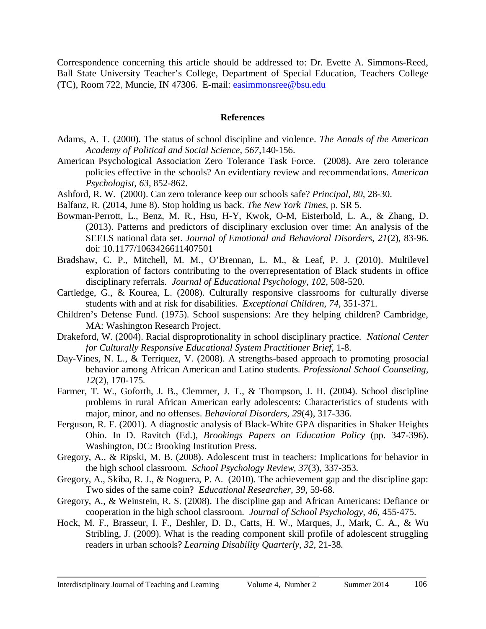Correspondence concerning this article should be addressed to: Dr. Evette A. Simmons-Reed, Ball State University Teacher's College, Department of Special Education, Teachers College (TC), Room 722, Muncie, IN 47306. E-mail: [easimmonsree@bsu.edu](mailto:easimmonsree@bsu.edu)

#### **References**

- Adams, A. T. (2000). The status of school discipline and violence. *The Annals of the American Academy of Political and Social Science, 567,*140-156.
- American Psychological Association Zero Tolerance Task Force. (2008). Are zero tolerance policies effective in the schools? An evidentiary review and recommendations. *American Psychologist, 63,* 852-862.
- Ashford, R. W. (2000). Can zero tolerance keep our schools safe? *Principal, 80,* 28-30.
- Balfanz, R. (2014, June 8). Stop holding us back. *The New York Times,* p. SR 5.
- Bowman-Perrott, L., Benz, M. R., Hsu, H-Y, Kwok, O-M, Eisterhold, L. A., & Zhang, D. (2013). Patterns and predictors of disciplinary exclusion over time: An analysis of the SEELS national data set. *Journal of Emotional and Behavioral Disorders, 21*(2), 83-96. doi: 10.1177/1063426611407501
- Bradshaw, C. P., Mitchell, M. M., O'Brennan, L. M., & Leaf, P. J. (2010). Multilevel exploration of factors contributing to the overrepresentation of Black students in office disciplinary referrals. *Journal of Educational Psychology, 102,* 508-520.
- Cartledge, G., & Kourea, L. (2008). Culturally responsive classrooms for culturally diverse students with and at risk for disabilities. *Exceptional Children, 74,* 351-371.
- Children's Defense Fund. (1975). School suspensions: Are they helping children? Cambridge, MA: Washington Research Project.
- Drakeford, W. (2004). Racial disproprotionality in school disciplinary practice. *National Center for Culturally Responsive Educational System Practitioner Brief,* 1-8.
- Day-Vines, N. L., & Terriquez, V. (2008). A strengths-based approach to promoting prosocial behavior among African American and Latino students. *Professional School Counseling, 12*(2), 170-175.
- Farmer, T. W., Goforth, J. B., Clemmer, J. T., & Thompson, J. H. (2004). School discipline problems in rural African American early adolescents: Characteristics of students with major, minor, and no offenses. *Behavioral Disorders, 29*(4), 317-336.
- Ferguson, R. F. (2001). A diagnostic analysis of Black-White GPA disparities in Shaker Heights Ohio. In D. Ravitch (Ed.), *Brookings Papers on Education Policy* (pp. 347-396). Washington, DC: Brooking Institution Press.
- Gregory, A., & Ripski, M. B. (2008). Adolescent trust in teachers: Implications for behavior in the high school classroom. *School Psychology Review, 37*(3), 337-353.
- Gregory, A., Skiba, R. J., & Noguera, P. A. (2010). The achievement gap and the discipline gap: Two sides of the same coin? *Educational Researcher, 39,* 59-68.
- Gregory, A., & Weinstein, R. S. (2008). The discipline gap and African Americans: Defiance or cooperation in the high school classroom. *Journal of School Psychology, 46,* 455-475.
- Hock, M. F., Brasseur, I. F., Deshler, D. D., Catts, H. W., Marques, J., Mark, C. A., & Wu Stribling, J. (2009). What is the reading component skill profile of adolescent struggling readers in urban schools? *Learning Disability Quarterly*, *32,* 21-38.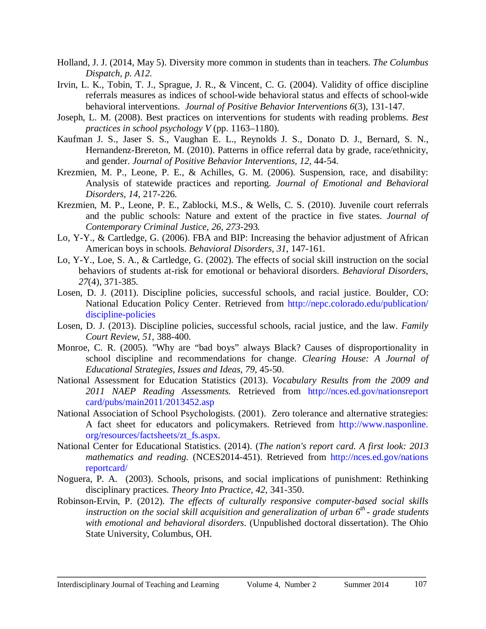- Holland, J. J. (2014, May 5). Diversity more common in students than in teachers. *The Columbus Dispatch, p. A12.*
- Irvin, L. K., Tobin, T. J., Sprague, J. R., & Vincent, C. G. (2004). Validity of office discipline referrals measures as indices of school-wide behavioral status and effects of school-wide behavioral interventions. *Journal of Positive Behavior Interventions 6*(3), 131-147.
- Joseph, L. M. (2008). Best practices on interventions for students with reading problems. *Best practices in school psychology V* (pp. 1163–1180).
- Kaufman J. S., Jaser S. S., Vaughan E. L., Reynolds J. S., Donato D. J., Bernard, S. N., Hernandenz-Brereton, M. (2010). Patterns in office referral data by grade, race/ethnicity, and gender. *Journal of Positive Behavior Interventions, 12,* 44-54.
- Krezmien, M. P., Leone, P. E., & Achilles, G. M. (2006). Suspension, race, and disability: Analysis of statewide practices and reporting*. Journal of Emotional and Behavioral Disorders, 14,* 217-226.
- Krezmien, M. P., Leone, P. E., Zablocki, M.S., & Wells, C. S. (2010). Juvenile court referrals and the public schools: Nature and extent of the practice in five states. *Journal of Contemporary Criminal Justice, 26, 273*-293*.*
- Lo, Y-Y., & Cartledge, G. (2006). FBA and BIP: Increasing the behavior adjustment of African American boys in schools. *Behavioral Disorders, 31*, 147-161.
- Lo, Y-Y., Loe, S. A., & Cartledge, G. (2002). The effects of social skill instruction on the social behaviors of students at-risk for emotional or behavioral disorders. *Behavioral Disorders, 27*(4), 371-385.
- Losen, D. J. (2011). Discipline policies, successful schools, and racial justice. Boulder, CO: National Education Policy Center. Retrieved from [http://nepc.colorado.edu/publication/](http://nepc.colorado.edu/publication/discipline-policies)  [discipline-policies](http://nepc.colorado.edu/publication/discipline-policies)
- Losen, D. J. (2013). Discipline policies, successful schools, racial justice, and the law. *Family Court Review, 51,* 388-400.
- Monroe, C. R. (2005). "Why are "bad boys" always Black? Causes of disproportionality in school discipline and recommendations for change. *Clearing House: A Journal of Educational Strategies, Issues and Ideas, 79,* 45-50.
- National Assessment for Education Statistics (2013). *Vocabulary Results from the 2009 and 2011 NAEP Reading Assessments.* Retrieved from [http://nces.ed.gov/nationsreport](http://nces.ed.gov/nationsreportcard/pubs/main2011/2013452.asp)  [card/pubs/main2011/2013452.asp](http://nces.ed.gov/nationsreportcard/pubs/main2011/2013452.asp)
- National Association of School Psychologists. (2001). Zero tolerance and alternative strategies: A fact sheet for educators and policymakers. Retrieved from [http://www.nasponline.](http://www.nasponline.org/resources/factsheets/zt_fs.aspx)  [org/resources/factsheets/zt\\_fs.aspx.](http://www.nasponline.org/resources/factsheets/zt_fs.aspx)
- National Center for Educational Statistics. (2014). (*The nation's report card. A first look: 2013 mathematics and reading.* (NCES2014-451). Retrieved from [http://nces.ed.gov/nations](http://nces.ed.gov/nationsreportcard/)  [reportcard/](http://nces.ed.gov/nationsreportcard/)
- Noguera, P. A. (2003). Schools, prisons, and social implications of punishment: Rethinking disciplinary practices. *Theory Into Practice, 42,* 341-350.
- Robinson-Ervin, P. (2012). *The effects of culturally responsive computer-based social skills instruction on the social skill acquisition and generalization of urban 6th - grade students with emotional and behavioral disorders*. (Unpublished doctoral dissertation). The Ohio State University, Columbus, OH.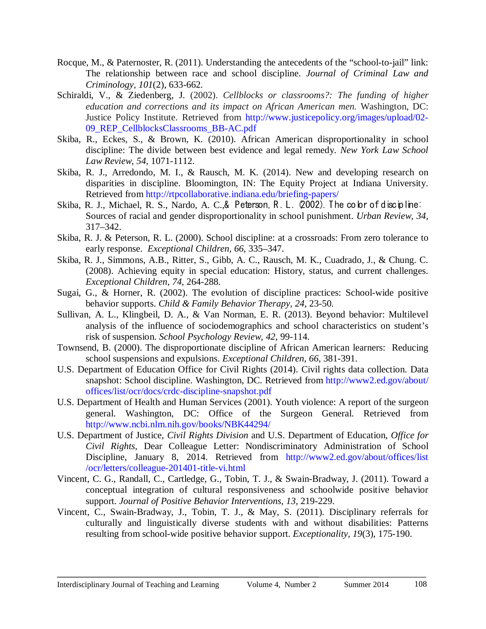- Rocque, M., & Paternoster, R. (2011). Understanding the antecedents of the "school-to-jail" link: The relationship between race and school discipline. *Journal of Criminal Law and Criminology, 101*(2), 633-662.
- Schiraldi, V., & Ziedenberg, J. (2002). *Cellblocks or classrooms?: The funding of higher education and corrections and its impact on African American men.* Washington, DC: Justice Policy Institute. Retrieved from [http://www.justicepolicy.org/images/upload/02-](http://www.justicepolicy.org/images/upload/02-09_REP_CellblocksClassrooms_BB-AC.pdf) [09\\_REP\\_CellblocksClassrooms\\_BB-AC.pdf](http://www.justicepolicy.org/images/upload/02-09_REP_CellblocksClassrooms_BB-AC.pdf)
- Skiba, R., Eckes, S., & Brown, K. (2010). African American disproportionality in school discipline: The divide between best evidence and legal remedy. *New York Law School Law Review, 54,* 1071-1112.
- Skiba, R. J., Arredondo, M. I., & Rausch, M. K. (2014). New and developing research on disparities in discipline. Bloomington, IN: The Equity Project at Indiana University. Retrieved from<http://rtpcollaborative.indiana.edu/briefing-papers/>
- Skiba, R. J., Michael, R. S., Nardo, A. C., & Peterson, R. L. (2002). The color of discipline: Sources of racial and gender disproportionality in school punishment. *Urban Review, 34,* 317–342.
- Skiba, R. J. & Peterson, R. L. (2000). School discipline: at a crossroads: From zero tolerance to early response. *Exceptional Children, 66,* 335–347.
- Skiba, R. J., Simmons, A.B., Ritter, S., Gibb, A. C., Rausch, M. K., Cuadrado, J., & Chung. C. (2008). Achieving equity in special education: History, status, and current challenges. *Exceptional Children, 74,* 264-288.
- Sugai, G., & Horner, R. (2002). The evolution of discipline practices: School-wide positive behavior supports. *Child & Family Behavior Therapy, 24,* 23-50.
- Sullivan, A. L., Klingbeil, D. A., & Van Norman, E. R. (2013). Beyond behavior: Multilevel analysis of the influence of sociodemographics and school characteristics on student's risk of suspension. *School Psychology Review, 42*, 99-114.
- Townsend, B. (2000). The disproportionate discipline of African American learners: Reducing school suspensions and expulsions. *Exceptional Children, 66,* 381-391.
- U.S. Department of Education Office for Civil Rights (2014). Civil rights data collection. Data snapshot: School discipline. Washington, DC. Retrieved from [http://www2.ed.gov/about/](http://www2.ed.gov/about/offices/list/ocr/docs/crdc-discipline-snapshot.pdf)  [offices/list/ocr/docs/crdc-discipline-snapshot.pdf](http://www2.ed.gov/about/offices/list/ocr/docs/crdc-discipline-snapshot.pdf)
- U.S. Department of Health and Human Services (2001). Youth violence: A report of the surgeon general. Washington, DC: Office of the Surgeon General. Retrieved from <http://www.ncbi.nlm.nih.gov/books/NBK44294/>
- U.S. Department of Justice, *Civil Rights Division* and U.S. Department of Education, *Office for Civil Rights*, Dear Colleague Letter: Nondiscriminatory Administration of School Discipline, January 8, 2014. Retrieved from [http://www2.ed.gov/about/offices/list](http://www2.ed.gov/about/offices/list%20/ocr/letters/colleague-201401-title-vi.html)  [/ocr/letters/colleague-201401-title-vi.html](http://www2.ed.gov/about/offices/list%20/ocr/letters/colleague-201401-title-vi.html)
- Vincent, C. G., Randall, C., Cartledge, G., Tobin, T. J., & Swain-Bradway, J. (2011). Toward a conceptual integration of cultural responsiveness and schoolwide positive behavior support. *Journal of Positive Behavior Interventions, 13,* 219-229.
- Vincent, C., Swain-Bradway, J., Tobin, T. J., & May, S. (2011). Disciplinary referrals for culturally and linguistically diverse students with and without disabilities: Patterns resulting from school-wide positive behavior support. *Exceptionality, 19*(3), 175-190.